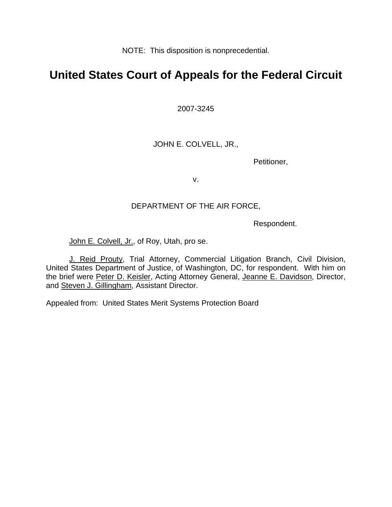NOTE: This disposition is nonprecedential.

# **United States Court of Appeals for the Federal Circuit**

2007-3245

JOHN E. COLVELL, JR.,

Petitioner,

v.

### DEPARTMENT OF THE AIR FORCE,

Respondent.

John E. Colvell, Jr., of Roy, Utah, pro se.

J. Reid Prouty, Trial Attorney, Commercial Litigation Branch, Civil Division, United States Department of Justice, of Washington, DC, for respondent. With him on the brief were Peter D. Keisler, Acting Attorney General, Jeanne E. Davidson, Director, and Steven J. Gillingham, Assistant Director.

Appealed from: United States Merit Systems Protection Board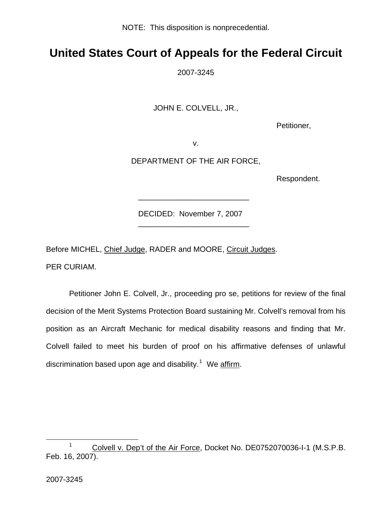NOTE: This disposition is nonprecedential.

# **United States Court of Appeals for the Federal Circuit**

2007-3245

JOHN E. COLVELL, JR.,

Petitioner,

v.

DEPARTMENT OF THE AIR FORCE,

Respondent.

DECIDED: November 7, 2007

Before MICHEL, Chief Judge, RADER and MOORE, Circuit Judges.

 $\frac{1}{2}$  , and the set of the set of the set of the set of the set of the set of the set of the set of the set of the set of the set of the set of the set of the set of the set of the set of the set of the set of the set

\_\_\_\_\_\_\_\_\_\_\_\_\_\_\_\_\_\_\_\_\_\_\_\_\_\_

PER CURIAM.

 Petitioner John E. Colvell, Jr., proceeding pro se, petitions for review of the final decision of the Merit Systems Protection Board sustaining Mr. Colvell's removal from his position as an Aircraft Mechanic for medical disability reasons and finding that Mr. Colvell failed to meet his burden of proof on his affirmative defenses of unlawful discrimination based upon age and disability.<sup>[1](#page-1-0)</sup> We affirm.

<span id="page-1-0"></span><sup>1</sup> <sup>1</sup> Colvell v. Dep't of the Air Force, Docket No. DE0752070036-I-1 (M.S.P.B. Feb. 16, 2007).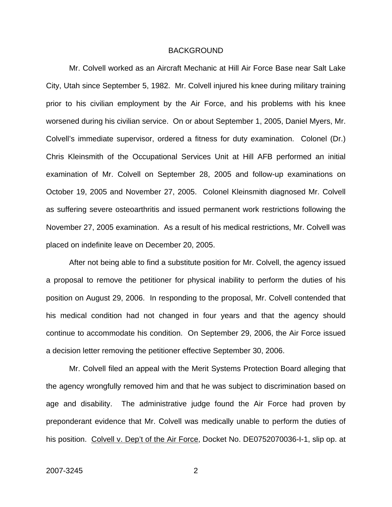#### BACKGROUND

Mr. Colvell worked as an Aircraft Mechanic at Hill Air Force Base near Salt Lake City, Utah since September 5, 1982. Mr. Colvell injured his knee during military training prior to his civilian employment by the Air Force, and his problems with his knee worsened during his civilian service. On or about September 1, 2005, Daniel Myers, Mr. Colvell's immediate supervisor, ordered a fitness for duty examination. Colonel (Dr.) Chris Kleinsmith of the Occupational Services Unit at Hill AFB performed an initial examination of Mr. Colvell on September 28, 2005 and follow-up examinations on October 19, 2005 and November 27, 2005. Colonel Kleinsmith diagnosed Mr. Colvell as suffering severe osteoarthritis and issued permanent work restrictions following the November 27, 2005 examination. As a result of his medical restrictions, Mr. Colvell was placed on indefinite leave on December 20, 2005.

After not being able to find a substitute position for Mr. Colvell, the agency issued a proposal to remove the petitioner for physical inability to perform the duties of his position on August 29, 2006. In responding to the proposal, Mr. Colvell contended that his medical condition had not changed in four years and that the agency should continue to accommodate his condition. On September 29, 2006, the Air Force issued a decision letter removing the petitioner effective September 30, 2006.

Mr. Colvell filed an appeal with the Merit Systems Protection Board alleging that the agency wrongfully removed him and that he was subject to discrimination based on age and disability. The administrative judge found the Air Force had proven by preponderant evidence that Mr. Colvell was medically unable to perform the duties of his position. Colvell v. Dep't of the Air Force, Docket No. DE0752070036-I-1, slip op. at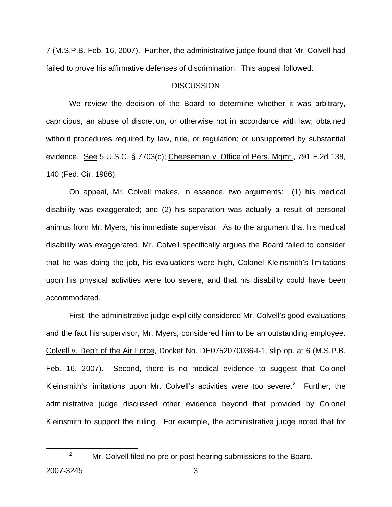7 (M.S.P.B. Feb. 16, 2007). Further, the administrative judge found that Mr. Colvell had failed to prove his affirmative defenses of discrimination. This appeal followed.

#### **DISCUSSION**

 We review the decision of the Board to determine whether it was arbitrary, capricious, an abuse of discretion, or otherwise not in accordance with law; obtained without procedures required by law, rule, or regulation; or unsupported by substantial evidence. See 5 U.S.C. § 7703(c); Cheeseman v. Office of Pers. Mgmt., 791 F.2d 138, 140 (Fed. Cir. 1986).

 On appeal, Mr. Colvell makes, in essence, two arguments: (1) his medical disability was exaggerated; and (2) his separation was actually a result of personal animus from Mr. Myers, his immediate supervisor. As to the argument that his medical disability was exaggerated, Mr. Colvell specifically argues the Board failed to consider that he was doing the job, his evaluations were high, Colonel Kleinsmith's limitations upon his physical activities were too severe, and that his disability could have been accommodated.

First, the administrative judge explicitly considered Mr. Colvell's good evaluations and the fact his supervisor, Mr. Myers, considered him to be an outstanding employee. Colvell v. Dep't of the Air Force, Docket No. DE0752070036-I-1, slip op. at 6 (M.S.P.B. Feb. 16, 2007). Second, there is no medical evidence to suggest that Colonel Kleinsmith's limitations upon Mr. Colvell's activities were too severe. $2$  Further, the administrative judge discussed other evidence beyond that provided by Colonel Kleinsmith to support the ruling. For example, the administrative judge noted that for

<span id="page-3-0"></span> $\frac{1}{2}$ 

 $\mu$ <sup>2</sup> Mr. Colvell filed no pre or post-hearing submissions to the Board.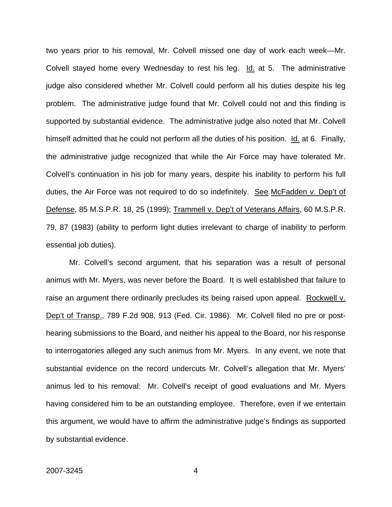two years prior to his removal, Mr. Colvell missed one day of work each week—Mr. Colvell stayed home every Wednesday to rest his leg. Id. at 5. The administrative judge also considered whether Mr. Colvell could perform all his duties despite his leg problem. The administrative judge found that Mr. Colvell could not and this finding is supported by substantial evidence. The administrative judge also noted that Mr. Colvell himself admitted that he could not perform all the duties of his position. Id. at 6. Finally, the administrative judge recognized that while the Air Force may have tolerated Mr. Colvell's continuation in his job for many years, despite his inability to perform his full duties, the Air Force was not required to do so indefinitely. See McFadden v. Dep't of Defense, 85 M.S.P.R. 18, 25 (1999); Trammell v. Dep't of Veterans Affairs, 60 M.S.P.R. 79, 87 (1983) (ability to perform light duties irrelevant to charge of inability to perform essential job duties).

 Mr. Colvell's second argument, that his separation was a result of personal animus with Mr. Myers, was never before the Board. It is well established that failure to raise an argument there ordinarily precludes its being raised upon appeal. Rockwell v. Dep't of Transp., 789 F.2d 908, 913 (Fed. Cir. 1986). Mr. Colvell filed no pre or posthearing submissions to the Board, and neither his appeal to the Board, nor his response to interrogatories alleged any such animus from Mr. Myers. In any event, we note that substantial evidence on the record undercuts Mr. Colvell's allegation that Mr. Myers' animus led to his removal: Mr. Colvell's receipt of good evaluations and Mr. Myers having considered him to be an outstanding employee. Therefore, even if we entertain this argument, we would have to affirm the administrative judge's findings as supported by substantial evidence.